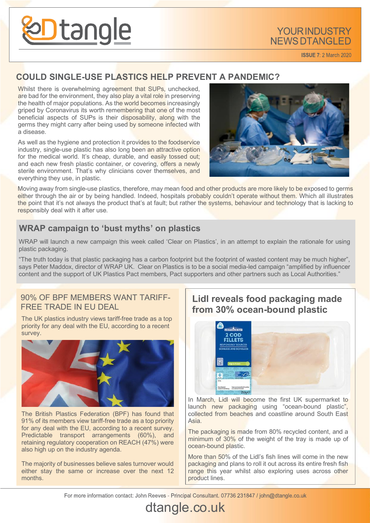

**ISSUE 7: 2 March 2020** 

#### **COULD SINGLE-USE PLASTICS HELP PREVENT A PANDEMIC?**

Whilst there is overwhelming agreement that SUPs, unchecked, are bad for the environment, they also play a vital role in preserving the health of major populations. As the world becomes increasingly griped by Coronavirus its worth remembering that one of the most beneficial aspects of SUPs is their disposability, along with the germs they might carry after being used by someone infected with a disease.

As well as the hygiene and protection it provides to the foodservice industry, single-use plastic has also long been an attractive option for the medical world. It's cheap, durable, and easily tossed out; and each new fresh plastic container, or covering, offers a newly sterile environment. That's why clinicians cover themselves, and everything they use, in plastic.



Moving away from single-use plastics, therefore, may mean food and other products are more likely to be exposed to germs either through the air or by being handled. Indeed, hospitals probably couldn't operate without them. Which all illustrates the point that it's not always the product that's at fault; but rather the systems, behaviour and technology that is lacking to responsibly deal with it after use.

### **WRAP campaign to 'bust myths' on plastics**

WRAP will launch a new campaign this week called 'Clear on Plastics', in an attempt to explain the rationale for using plastic packaging.

"The truth today is that plastic packaging has a carbon footprint but the footprint of wasted content may be much higher", says Peter Maddox, director of WRAP UK. Clear on Plastics is to be a social media-led campaign "amplified by influencer content and the support of UK Plastics Pact members, Pact supporters and other partners such as Local Authorities."

#### 90% OF BPF MEMBERS WANT TARIFF-FREE TRADE IN EU DEAL **Lidl reveals food packaging made**

The UK plastics industry views tariff-free trade as a top priority for any deal with the EU, according to a recent survey.



The British Plastics Federation (BPF) has found that 91% of its members view tariff-free trade as a top priority for any deal with the EU, according to a recent survey. Predictable transport arrangements (60%), and retaining regulatory cooperation on REACH (47%) were also high up on the industry agenda.

The majority of businesses believe sales turnover would either stay the same or increase over the next 12 months.

# **from 30% ocean-bound plastic**



In March, Lidl will become the first UK supermarket to launch new packaging using "ocean-bound plastic", collected from beaches and coastline around South East Asia.

The packaging is made from 80% recycled content, and a minimum of 30% of the weight of the tray is made up of ocean-bound plastic.

More than 50% of the Lidl's fish lines will come in the new packaging and plans to roll it out across its entire fresh fish range this year whilst also exploring uses across other product lines.

For more information contact: John Reeves - Principal Consultant. 07736 231847 / john@dtangle.co.uk

# dtangle.co.uk